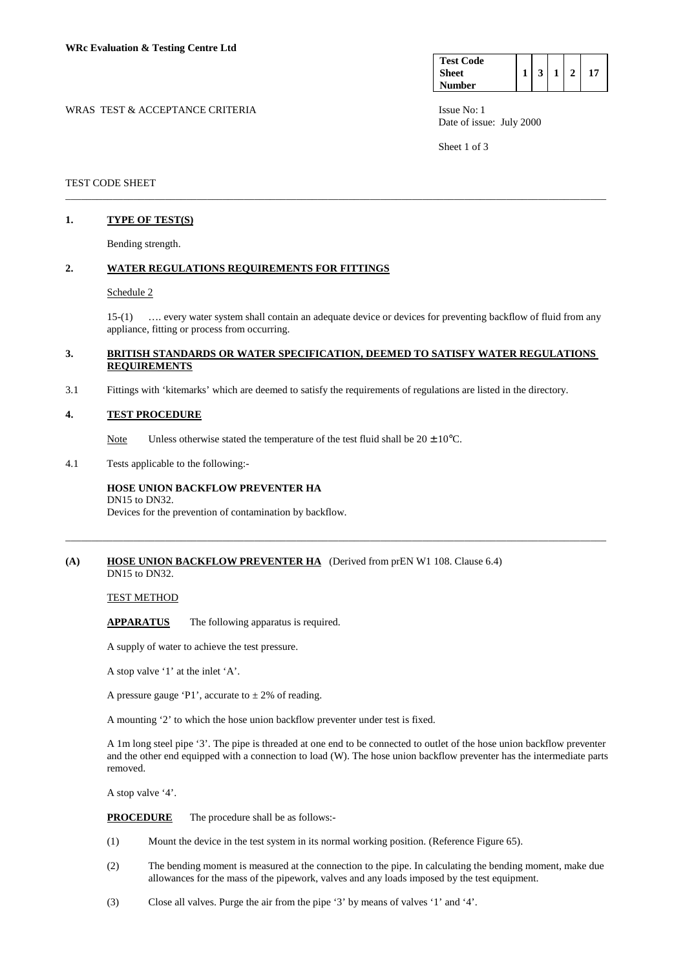| <b>Test Code</b> |  |  |  |
|------------------|--|--|--|
| <b>Sheet</b>     |  |  |  |
| <b>Number</b>    |  |  |  |

WRAS TEST & ACCEPTANCE CRITERIA **ISSUE NO:** 1 ISSUE No: 1 Date of issue: July 2000

Sheet 1 of 3

## TEST CODE SHEET

# **1. TYPE OF TEST(S)**

Bending strength.

### **2. WATER REGULATIONS REQUIREMENTS FOR FITTINGS**

#### Schedule 2

 15-(1) …. every water system shall contain an adequate device or devices for preventing backflow of fluid from any appliance, fitting or process from occurring.

## **3. BRITISH STANDARDS OR WATER SPECIFICATION, DEEMED TO SATISFY WATER REGULATIONS REQUIREMENTS**

\_\_\_\_\_\_\_\_\_\_\_\_\_\_\_\_\_\_\_\_\_\_\_\_\_\_\_\_\_\_\_\_\_\_\_\_\_\_\_\_\_\_\_\_\_\_\_\_\_\_\_\_\_\_\_\_\_\_\_\_\_\_\_\_\_\_\_\_\_\_\_\_\_\_\_\_\_\_\_\_\_\_\_\_\_\_\_\_\_\_\_\_\_\_\_\_\_\_\_\_\_\_\_

\_\_\_\_\_\_\_\_\_\_\_\_\_\_\_\_\_\_\_\_\_\_\_\_\_\_\_\_\_\_\_\_\_\_\_\_\_\_\_\_\_\_\_\_\_\_\_\_\_\_\_\_\_\_\_\_\_\_\_\_\_\_\_\_\_\_\_\_\_\_\_\_\_\_\_\_\_\_\_\_\_\_\_\_\_\_\_\_\_\_\_\_\_\_\_\_\_\_\_\_\_\_\_

3.1 Fittings with 'kitemarks' which are deemed to satisfy the requirements of regulations are listed in the directory.

#### **4. TEST PROCEDURE**

Note Unless otherwise stated the temperature of the test fluid shall be  $20 \pm 10^{\circ}$ C.

4.1 Tests applicable to the following:-

#### **HOSE UNION BACKFLOW PREVENTER HA**  DN15 to DN32.

Devices for the prevention of contamination by backflow.

#### **(A) HOSE UNION BACKFLOW PREVENTER HA** (Derived from prEN W1 108. Clause 6.4) DN15 to DN32.

## TEST METHOD

 **APPARATUS** The following apparatus is required.

A supply of water to achieve the test pressure.

A stop valve '1' at the inlet 'A'.

A pressure gauge 'P1', accurate to  $\pm$  2% of reading.

A mounting '2' to which the hose union backflow preventer under test is fixed.

 A 1m long steel pipe '3'. The pipe is threaded at one end to be connected to outlet of the hose union backflow preventer and the other end equipped with a connection to load (W). The hose union backflow preventer has the intermediate parts removed.

A stop valve '4'.

**PROCEDURE** The procedure shall be as follows:-

- (1) Mount the device in the test system in its normal working position. (Reference Figure 65).
- (2) The bending moment is measured at the connection to the pipe. In calculating the bending moment, make due allowances for the mass of the pipework, valves and any loads imposed by the test equipment.
- (3) Close all valves. Purge the air from the pipe '3' by means of valves '1' and '4'.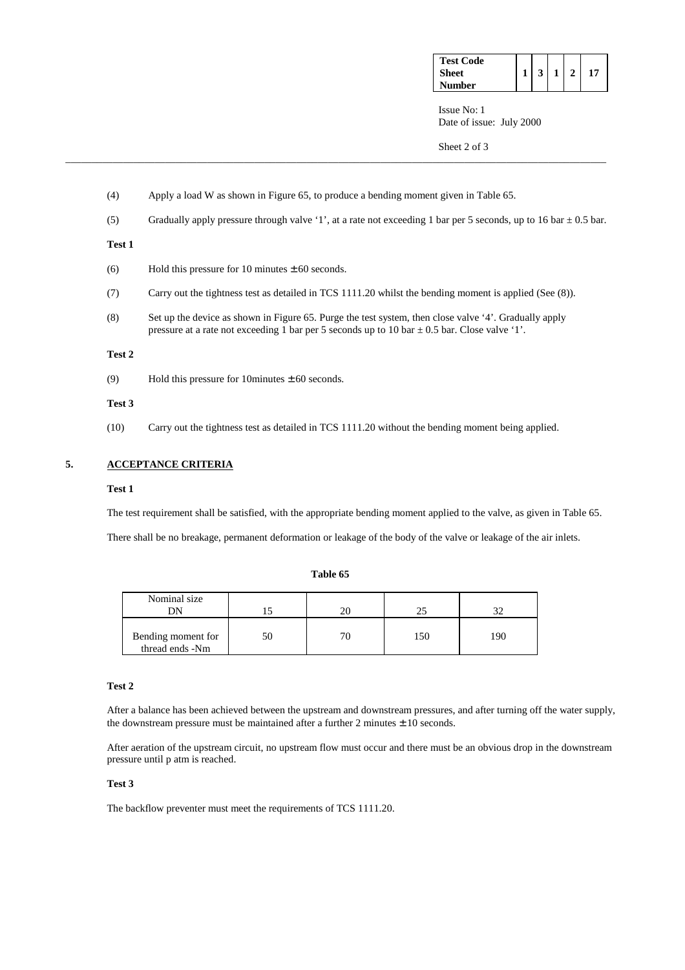| <b>Test Code</b> |                |                |  |
|------------------|----------------|----------------|--|
| <b>Sheet</b>     | 3 <sup>1</sup> | 1 <sup>1</sup> |  |
| Number           |                |                |  |

 Issue No: 1 Date of issue: July 2000

Sheet 2 of 3

- (4) Apply a load W as shown in Figure 65, to produce a bending moment given in Table 65.
- (5) Gradually apply pressure through valve '1', at a rate not exceeding 1 bar per 5 seconds, up to 16 bar  $\pm$  0.5 bar.

\_\_\_\_\_\_\_\_\_\_\_\_\_\_\_\_\_\_\_\_\_\_\_\_\_\_\_\_\_\_\_\_\_\_\_\_\_\_\_\_\_\_\_\_\_\_\_\_\_\_\_\_\_\_\_\_\_\_\_\_\_\_\_\_\_\_\_\_\_\_\_\_\_\_\_\_\_\_\_\_\_\_\_\_\_\_\_\_\_\_\_\_\_\_\_\_\_\_\_\_\_\_\_

## **Test 1**

- (6) Hold this pressure for 10 minutes  $\pm$  60 seconds.
- (7) Carry out the tightness test as detailed in TCS 1111.20 whilst the bending moment is applied (See (8)).
- (8) Set up the device as shown in Figure 65. Purge the test system, then close valve '4'. Gradually apply pressure at a rate not exceeding 1 bar per 5 seconds up to 10 bar  $\pm$  0.5 bar. Close valve '1'.

#### **Test 2**

(9) Hold this pressure for 10 minutes  $\pm 60$  seconds.

#### **Test 3**

(10) Carry out the tightness test as detailed in TCS 1111.20 without the bending moment being applied.

# **5. ACCEPTANCE CRITERIA**

#### **Test 1**

The test requirement shall be satisfied, with the appropriate bending moment applied to the valve, as given in Table 65.

There shall be no breakage, permanent deformation or leakage of the body of the valve or leakage of the air inlets.

### **Table 65**

| Nominal size<br>DΝ                    |    |     |     |
|---------------------------------------|----|-----|-----|
| Bending moment for<br>thread ends -Nm | 51 | 150 | 190 |

# **Test 2**

 After a balance has been achieved between the upstream and downstream pressures, and after turning off the water supply, the downstream pressure must be maintained after a further  $2$  minutes  $\pm 10$  seconds.

 After aeration of the upstream circuit, no upstream flow must occur and there must be an obvious drop in the downstream pressure until p atm is reached.

## **Test 3**

The backflow preventer must meet the requirements of TCS 1111.20.